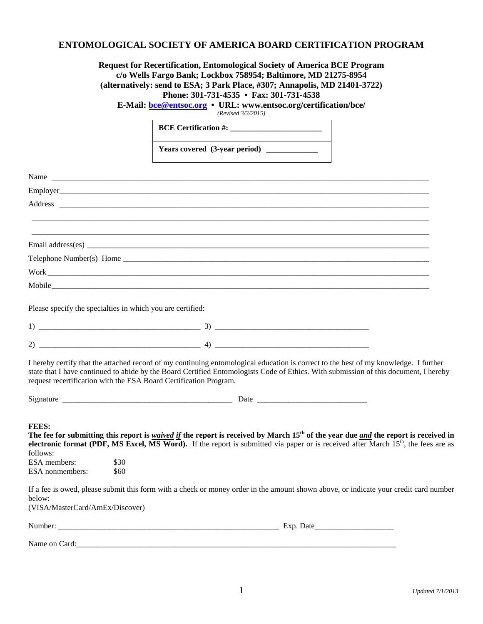#### **ENTOMOLOGICAL SOCIETY OF AMERICA BOARD CERTIFICATION PROGRAM**

#### **Request for Recertification, Entomological Society of America BCE Program c/o Wells Fargo Bank; Lockbox 758954; Baltimore, MD 21275-8954 (alternatively: send to ESA; 3 Park Place, #307; Annapolis, MD 21401-3722) Phone: 301-731-4535 • Fax: 301-731-4538**

**E-Mail: [bce@entsoc.org](mailto:bce@entsoc.org) • URL: www.entsoc.org/certification/bce/**

*(Revised 3/3/2015)*

|                                                 | Years covered (3-year period) _____________                                                                                                                                                                                                                                                                                                       |
|-------------------------------------------------|---------------------------------------------------------------------------------------------------------------------------------------------------------------------------------------------------------------------------------------------------------------------------------------------------------------------------------------------------|
|                                                 |                                                                                                                                                                                                                                                                                                                                                   |
|                                                 |                                                                                                                                                                                                                                                                                                                                                   |
|                                                 |                                                                                                                                                                                                                                                                                                                                                   |
|                                                 |                                                                                                                                                                                                                                                                                                                                                   |
|                                                 |                                                                                                                                                                                                                                                                                                                                                   |
|                                                 |                                                                                                                                                                                                                                                                                                                                                   |
|                                                 |                                                                                                                                                                                                                                                                                                                                                   |
|                                                 |                                                                                                                                                                                                                                                                                                                                                   |
|                                                 | Please specify the specialties in which you are certified:                                                                                                                                                                                                                                                                                        |
|                                                 |                                                                                                                                                                                                                                                                                                                                                   |
|                                                 |                                                                                                                                                                                                                                                                                                                                                   |
|                                                 | I hereby certify that the attached record of my continuing entomological education is correct to the best of my knowledge. I further<br>state that I have continued to abide by the Board Certified Entomologists Code of Ethics. With submission of this document, I hereby<br>request recertification with the ESA Board Certification Program. |
|                                                 |                                                                                                                                                                                                                                                                                                                                                   |
|                                                 |                                                                                                                                                                                                                                                                                                                                                   |
| <b>FEES:</b><br>follows:<br><b>ESA</b> members: | The fee for submitting this report is <i>waived if</i> the report is received by March $15th$ of the year due <i>and</i> the report is received in<br>electronic format (PDF, MS Excel, $\overline{\text{MS} \text{ Word}}$ ). If the report is submitted via paper or is received after March 15 <sup>th</sup> , the fees are as<br>\$30         |
| ESA nonmembers:                                 | \$60                                                                                                                                                                                                                                                                                                                                              |
| below:<br>(VISA/MasterCard/AmEx/Discover)       | If a fee is owed, please submit this form with a check or money order in the amount shown above, or indicate your credit card number                                                                                                                                                                                                              |
|                                                 |                                                                                                                                                                                                                                                                                                                                                   |
|                                                 |                                                                                                                                                                                                                                                                                                                                                   |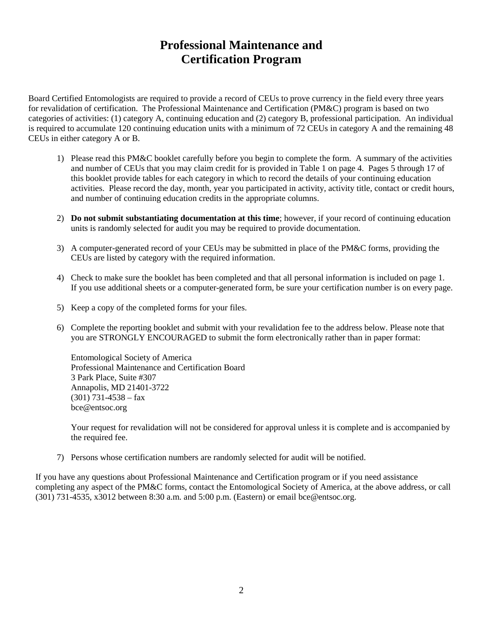# **Professional Maintenance and Certification Program**

Board Certified Entomologists are required to provide a record of CEUs to prove currency in the field every three years for revalidation of certification. The Professional Maintenance and Certification (PM&C) program is based on two categories of activities: (1) category A, continuing education and (2) category B, professional participation. An individual is required to accumulate 120 continuing education units with a minimum of 72 CEUs in category A and the remaining 48 CEUs in either category A or B.

- 1) Please read this PM&C booklet carefully before you begin to complete the form. A summary of the activities and number of CEUs that you may claim credit for is provided in Table 1 on page 4. Pages 5 through 17 of this booklet provide tables for each category in which to record the details of your continuing education activities. Please record the day, month, year you participated in activity, activity title, contact or credit hours, and number of continuing education credits in the appropriate columns.
- 2) **Do not submit substantiating documentation at this time**; however, if your record of continuing education units is randomly selected for audit you may be required to provide documentation.
- 3) A computer-generated record of your CEUs may be submitted in place of the PM&C forms, providing the CEUs are listed by category with the required information.
- 4) Check to make sure the booklet has been completed and that all personal information is included on page 1. If you use additional sheets or a computer-generated form, be sure your certification number is on every page.
- 5) Keep a copy of the completed forms for your files.
- 6) Complete the reporting booklet and submit with your revalidation fee to the address below. Please note that you are STRONGLY ENCOURAGED to submit the form electronically rather than in paper format:

Entomological Society of America Professional Maintenance and Certification Board 3 Park Place, Suite #307 Annapolis, MD 21401-3722  $(301)$  731-4538 – fax bce@entsoc.org

Your request for revalidation will not be considered for approval unless it is complete and is accompanied by the required fee.

7) Persons whose certification numbers are randomly selected for audit will be notified.

If you have any questions about Professional Maintenance and Certification program or if you need assistance completing any aspect of the PM&C forms, contact the Entomological Society of America, at the above address, or call (301) 731-4535, x3012 between 8:30 a.m. and 5:00 p.m. (Eastern) or email bce@entsoc.org.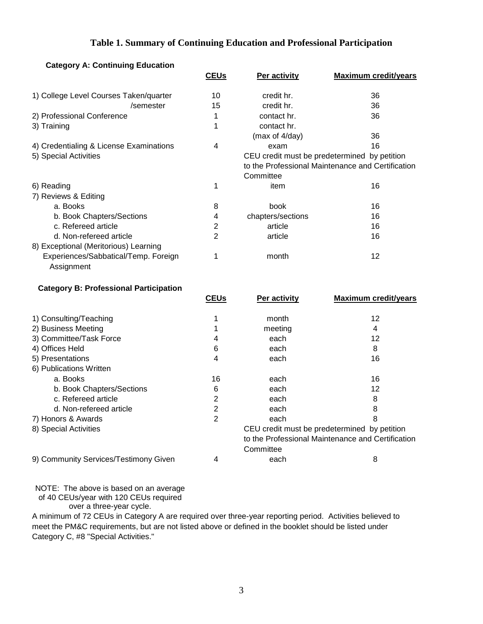## **Table 1. Summary of Continuing Education and Professional Participation**

| <b>Category A: Continuing Education</b> |             |                                              |                                                   |  |  |  |
|-----------------------------------------|-------------|----------------------------------------------|---------------------------------------------------|--|--|--|
|                                         | <b>CEUs</b> | Per activity                                 | <b>Maximum credit/years</b>                       |  |  |  |
| 1) College Level Courses Taken/quarter  | 10          | credit hr.                                   | 36                                                |  |  |  |
| /semester                               | 15          | credit hr.                                   | 36                                                |  |  |  |
| 2) Professional Conference              |             | contact hr.                                  | 36                                                |  |  |  |
| 3) Training                             |             | contact hr.                                  |                                                   |  |  |  |
|                                         |             | (max of 4/day)                               | 36                                                |  |  |  |
| 4) Credentialing & License Examinations | 4           | exam                                         | 16                                                |  |  |  |
| 5) Special Activities                   |             | CEU credit must be predetermined by petition |                                                   |  |  |  |
|                                         |             |                                              | to the Professional Maintenance and Certification |  |  |  |
|                                         |             | Committee                                    |                                                   |  |  |  |
| 6) Reading                              |             | item                                         | 16                                                |  |  |  |
| 7) Reviews & Editing                    |             |                                              |                                                   |  |  |  |
| a. Books                                | 8           | book                                         | 16                                                |  |  |  |
| b. Book Chapters/Sections               | 4           | chapters/sections                            | 16                                                |  |  |  |
| c. Refereed article                     | 2           | article                                      | 16                                                |  |  |  |
| d. Non-refereed article                 | 2           | article                                      | 16                                                |  |  |  |
| 8) Exceptional (Meritorious) Learning   |             |                                              |                                                   |  |  |  |
| Experiences/Sabbatical/Temp. Foreign    |             | month                                        | 12                                                |  |  |  |
| Assignment                              |             |                                              |                                                   |  |  |  |

#### **Category B: Professional Participation**

|                                       | <b>CEUs</b> | Per activity | <b>Maximum credit/years</b>                                                                       |
|---------------------------------------|-------------|--------------|---------------------------------------------------------------------------------------------------|
| 1) Consulting/Teaching                |             | month        | 12                                                                                                |
| 2) Business Meeting                   |             | meeting      | 4                                                                                                 |
| 3) Committee/Task Force               |             | each         | 12                                                                                                |
| 4) Offices Held                       | 6           | each         | 8                                                                                                 |
| 5) Presentations                      | 4           | each         | 16                                                                                                |
| 6) Publications Written               |             |              |                                                                                                   |
| a. Books                              | 16          | each         | 16                                                                                                |
| b. Book Chapters/Sections             | 6           | each         | 12                                                                                                |
| c. Refereed article                   | 2           | each         | 8                                                                                                 |
| d. Non-refereed article               | 2           | each         | 8                                                                                                 |
| 7) Honors & Awards                    | 2           | each         | 8                                                                                                 |
| 8) Special Activities                 |             |              | CEU credit must be predetermined by petition<br>to the Professional Maintenance and Certification |
|                                       |             | Committee    |                                                                                                   |
| 9) Community Services/Testimony Given | 4           | each         | 8                                                                                                 |

NOTE: The above is based on an average

of 40 CEUs/year with 120 CEUs required

over a three-year cycle.

A minimum of 72 CEUs in Category A are required over three-year reporting period. Activities believed to meet the PM&C requirements, but are not listed above or defined in the booklet should be listed under Category C, #8 "Special Activities."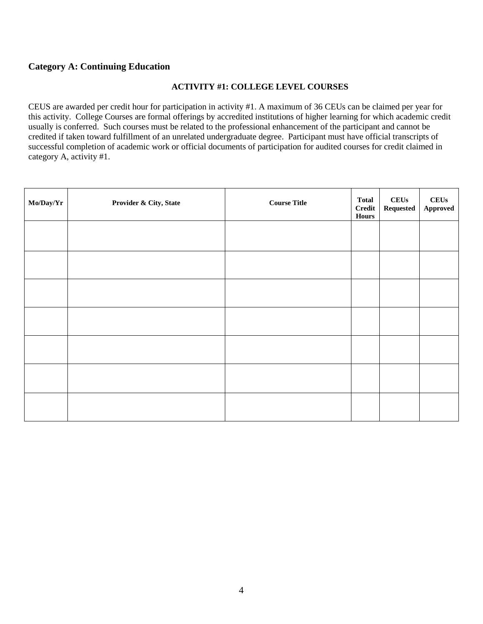## **Category A: Continuing Education**

#### **ACTIVITY #1: COLLEGE LEVEL COURSES**

CEUS are awarded per credit hour for participation in activity #1. A maximum of 36 CEUs can be claimed per year for this activity. College Courses are formal offerings by accredited institutions of higher learning for which academic credit usually is conferred. Such courses must be related to the professional enhancement of the participant and cannot be credited if taken toward fulfillment of an unrelated undergraduate degree. Participant must have official transcripts of successful completion of academic work or official documents of participation for audited courses for credit claimed in category A, activity #1.

| Mo/Day/Yr | Provider & City, State | <b>Course Title</b> | <b>Total</b><br><b>Credit</b><br>Hours | ${\bf C} {\bf E} {\bf U} {\bf s}$<br><b>Requested</b> | <b>CEUs</b><br>Approved |
|-----------|------------------------|---------------------|----------------------------------------|-------------------------------------------------------|-------------------------|
|           |                        |                     |                                        |                                                       |                         |
|           |                        |                     |                                        |                                                       |                         |
|           |                        |                     |                                        |                                                       |                         |
|           |                        |                     |                                        |                                                       |                         |
|           |                        |                     |                                        |                                                       |                         |
|           |                        |                     |                                        |                                                       |                         |
|           |                        |                     |                                        |                                                       |                         |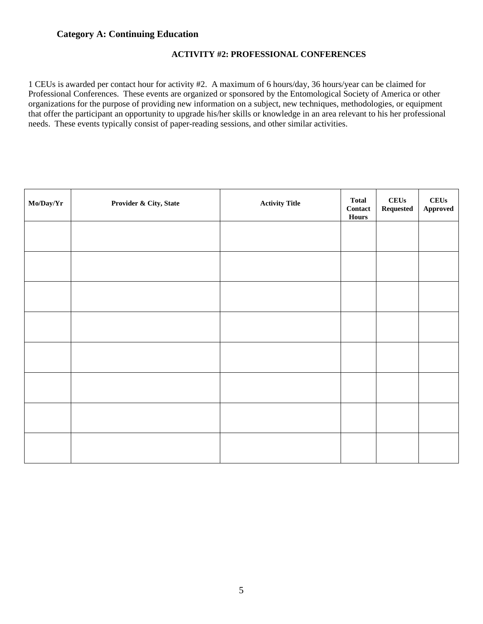## **Category A: Continuing Education**

#### **ACTIVITY #2: PROFESSIONAL CONFERENCES**

1 CEUs is awarded per contact hour for activity #2. A maximum of 6 hours/day, 36 hours/year can be claimed for Professional Conferences. These events are organized or sponsored by the Entomological Society of America or other organizations for the purpose of providing new information on a subject, new techniques, methodologies, or equipment that offer the participant an opportunity to upgrade his/her skills or knowledge in an area relevant to his her professional needs. These events typically consist of paper-reading sessions, and other similar activities.

| Mo/Day/Yr | Provider & City, State | <b>Activity Title</b> | <b>Total</b><br>$\label{eq:contact} \textbf{Contact}$<br><b>Hours</b> | ${\bf C} {\bf E} {\bf U} {\bf s}$<br>$\bf Requested$ | <b>CEUs</b><br>Approved |
|-----------|------------------------|-----------------------|-----------------------------------------------------------------------|------------------------------------------------------|-------------------------|
|           |                        |                       |                                                                       |                                                      |                         |
|           |                        |                       |                                                                       |                                                      |                         |
|           |                        |                       |                                                                       |                                                      |                         |
|           |                        |                       |                                                                       |                                                      |                         |
|           |                        |                       |                                                                       |                                                      |                         |
|           |                        |                       |                                                                       |                                                      |                         |
|           |                        |                       |                                                                       |                                                      |                         |
|           |                        |                       |                                                                       |                                                      |                         |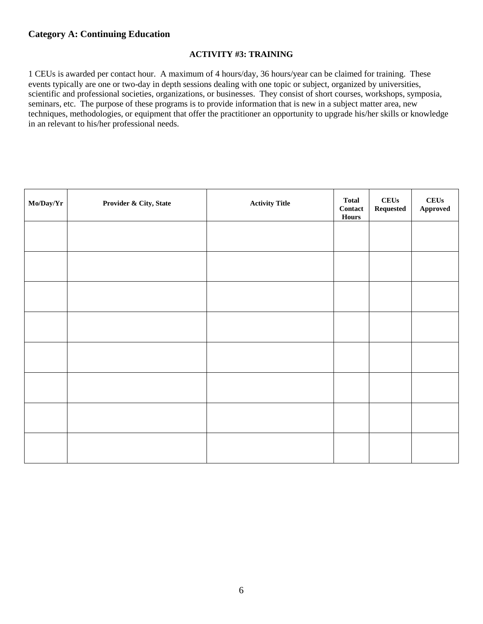## **Category A: Continuing Education**

#### **ACTIVITY #3: TRAINING**

1 CEUs is awarded per contact hour. A maximum of 4 hours/day, 36 hours/year can be claimed for training. These events typically are one or two-day in depth sessions dealing with one topic or subject, organized by universities, scientific and professional societies, organizations, or businesses. They consist of short courses, workshops, symposia, seminars, etc. The purpose of these programs is to provide information that is new in a subject matter area, new techniques, methodologies, or equipment that offer the practitioner an opportunity to upgrade his/her skills or knowledge in an relevant to his/her professional needs.

| Mo/Day/Yr | Provider & City, State | <b>Activity Title</b> | <b>Total</b><br>$Context$<br><b>Hours</b> | CEUs<br>${\bf Requested}$ | <b>CEUs</b><br>Approved |
|-----------|------------------------|-----------------------|-------------------------------------------|---------------------------|-------------------------|
|           |                        |                       |                                           |                           |                         |
|           |                        |                       |                                           |                           |                         |
|           |                        |                       |                                           |                           |                         |
|           |                        |                       |                                           |                           |                         |
|           |                        |                       |                                           |                           |                         |
|           |                        |                       |                                           |                           |                         |
|           |                        |                       |                                           |                           |                         |
|           |                        |                       |                                           |                           |                         |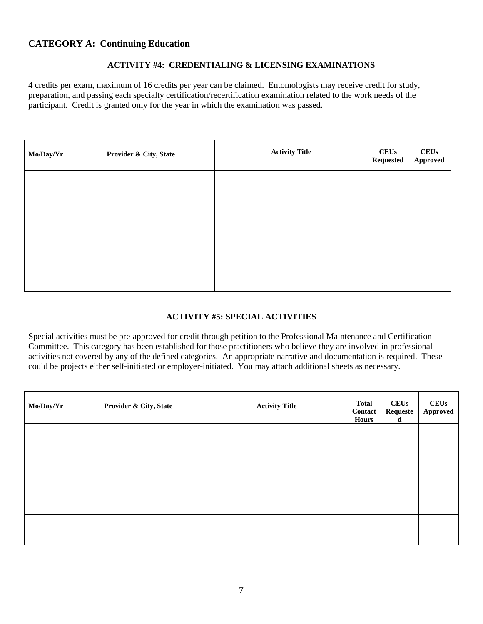#### **ACTIVITY #4: CREDENTIALING & LICENSING EXAMINATIONS**

4 credits per exam, maximum of 16 credits per year can be claimed. Entomologists may receive credit for study, preparation, and passing each specialty certification/recertification examination related to the work needs of the participant. Credit is granted only for the year in which the examination was passed.

| Mo/Day/Yr | Provider & City, State | <b>Activity Title</b> | <b>CEUs</b><br><b>Requested</b> | <b>CEUs</b><br>Approved |
|-----------|------------------------|-----------------------|---------------------------------|-------------------------|
|           |                        |                       |                                 |                         |
|           |                        |                       |                                 |                         |
|           |                        |                       |                                 |                         |
|           |                        |                       |                                 |                         |

#### **ACTIVITY #5: SPECIAL ACTIVITIES**

Special activities must be pre-approved for credit through petition to the Professional Maintenance and Certification Committee. This category has been established for those practitioners who believe they are involved in professional activities not covered by any of the defined categories. An appropriate narrative and documentation is required. These could be projects either self-initiated or employer-initiated. You may attach additional sheets as necessary.

| Mo/Day/Yr | Provider & City, State | <b>Activity Title</b> | <b>Total</b><br>Contact<br><b>Hours</b> | <b>CEUs</b><br>Requeste<br>d | <b>CEUs</b><br>Approved |
|-----------|------------------------|-----------------------|-----------------------------------------|------------------------------|-------------------------|
|           |                        |                       |                                         |                              |                         |
|           |                        |                       |                                         |                              |                         |
|           |                        |                       |                                         |                              |                         |
|           |                        |                       |                                         |                              |                         |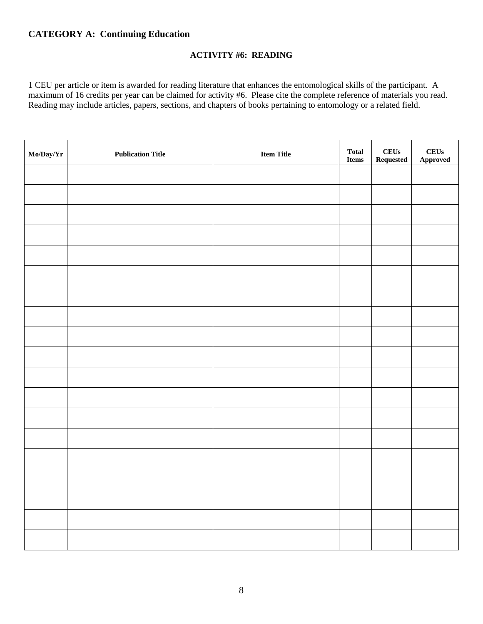#### **ACTIVITY #6: READING**

1 CEU per article or item is awarded for reading literature that enhances the entomological skills of the participant. A maximum of 16 credits per year can be claimed for activity #6. Please cite the complete reference of materials you read. Reading may include articles, papers, sections, and chapters of books pertaining to entomology or a related field.

| $\textbf{Mo} / \textbf{Day} / \textbf{Y} \textbf{r}$ | <b>Publication Title</b> | <b>Item Title</b> | <b>Total</b><br><b>Items</b> | CEUs<br>Requested | <b>CEUs</b><br>Approved |
|------------------------------------------------------|--------------------------|-------------------|------------------------------|-------------------|-------------------------|
|                                                      |                          |                   |                              |                   |                         |
|                                                      |                          |                   |                              |                   |                         |
|                                                      |                          |                   |                              |                   |                         |
|                                                      |                          |                   |                              |                   |                         |
|                                                      |                          |                   |                              |                   |                         |
|                                                      |                          |                   |                              |                   |                         |
|                                                      |                          |                   |                              |                   |                         |
|                                                      |                          |                   |                              |                   |                         |
|                                                      |                          |                   |                              |                   |                         |
|                                                      |                          |                   |                              |                   |                         |
|                                                      |                          |                   |                              |                   |                         |
|                                                      |                          |                   |                              |                   |                         |
|                                                      |                          |                   |                              |                   |                         |
|                                                      |                          |                   |                              |                   |                         |
|                                                      |                          |                   |                              |                   |                         |
|                                                      |                          |                   |                              |                   |                         |
|                                                      |                          |                   |                              |                   |                         |
|                                                      |                          |                   |                              |                   |                         |
|                                                      |                          |                   |                              |                   |                         |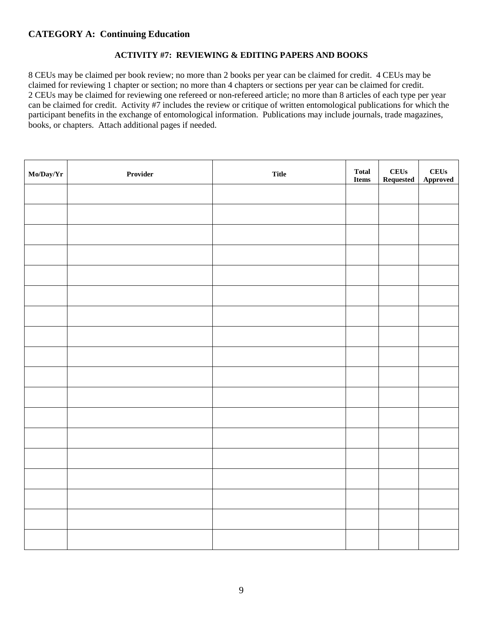#### **ACTIVITY #7: REVIEWING & EDITING PAPERS AND BOOKS**

8 CEUs may be claimed per book review; no more than 2 books per year can be claimed for credit. 4 CEUs may be claimed for reviewing 1 chapter or section; no more than 4 chapters or sections per year can be claimed for credit. 2 CEUs may be claimed for reviewing one refereed or non-refereed article; no more than 8 articles of each type per year can be claimed for credit. Activity #7 includes the review or critique of written entomological publications for which the participant benefits in the exchange of entomological information. Publications may include journals, trade magazines, books, or chapters. Attach additional pages if needed.

| Mo/Day/Yr | Provider | <b>Title</b> | <b>Total</b><br><b>Items</b> | ${\bf C} {\bf E} {\bf U} {\bf s}$<br>Requested | <b>CEUs</b><br>Approved |
|-----------|----------|--------------|------------------------------|------------------------------------------------|-------------------------|
|           |          |              |                              |                                                |                         |
|           |          |              |                              |                                                |                         |
|           |          |              |                              |                                                |                         |
|           |          |              |                              |                                                |                         |
|           |          |              |                              |                                                |                         |
|           |          |              |                              |                                                |                         |
|           |          |              |                              |                                                |                         |
|           |          |              |                              |                                                |                         |
|           |          |              |                              |                                                |                         |
|           |          |              |                              |                                                |                         |
|           |          |              |                              |                                                |                         |
|           |          |              |                              |                                                |                         |
|           |          |              |                              |                                                |                         |
|           |          |              |                              |                                                |                         |
|           |          |              |                              |                                                |                         |
|           |          |              |                              |                                                |                         |
|           |          |              |                              |                                                |                         |
|           |          |              |                              |                                                |                         |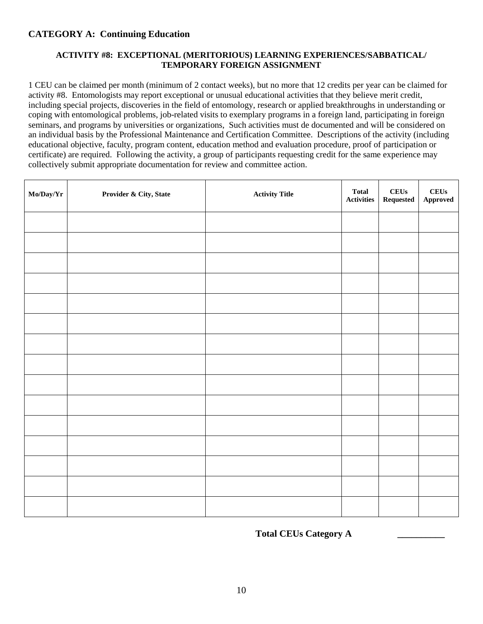#### **ACTIVITY #8: EXCEPTIONAL (MERITORIOUS) LEARNING EXPERIENCES/SABBATICAL/ TEMPORARY FOREIGN ASSIGNMENT**

1 CEU can be claimed per month (minimum of 2 contact weeks), but no more that 12 credits per year can be claimed for activity #8. Entomologists may report exceptional or unusual educational activities that they believe merit credit, including special projects, discoveries in the field of entomology, research or applied breakthroughs in understanding or coping with entomological problems, job-related visits to exemplary programs in a foreign land, participating in foreign seminars, and programs by universities or organizations, Such activities must de documented and will be considered on an individual basis by the Professional Maintenance and Certification Committee. Descriptions of the activity (including educational objective, faculty, program content, education method and evaluation procedure, proof of participation or certificate) are required. Following the activity, a group of participants requesting credit for the same experience may collectively submit appropriate documentation for review and committee action.

| Mo/Day/Yr | Provider & City, State | <b>Activity Title</b> | <b>Total</b><br>Activities | <b>CEUs</b><br>Requested | CEUs<br>${\Large {\bf\large Appendix}}$ |
|-----------|------------------------|-----------------------|----------------------------|--------------------------|-----------------------------------------|
|           |                        |                       |                            |                          |                                         |
|           |                        |                       |                            |                          |                                         |
|           |                        |                       |                            |                          |                                         |
|           |                        |                       |                            |                          |                                         |
|           |                        |                       |                            |                          |                                         |
|           |                        |                       |                            |                          |                                         |
|           |                        |                       |                            |                          |                                         |
|           |                        |                       |                            |                          |                                         |
|           |                        |                       |                            |                          |                                         |
|           |                        |                       |                            |                          |                                         |
|           |                        |                       |                            |                          |                                         |
|           |                        |                       |                            |                          |                                         |
|           |                        |                       |                            |                          |                                         |
|           |                        |                       |                            |                          |                                         |
|           |                        |                       |                            |                          |                                         |

**Total CEUs Category A \_\_\_\_\_\_\_\_\_\_**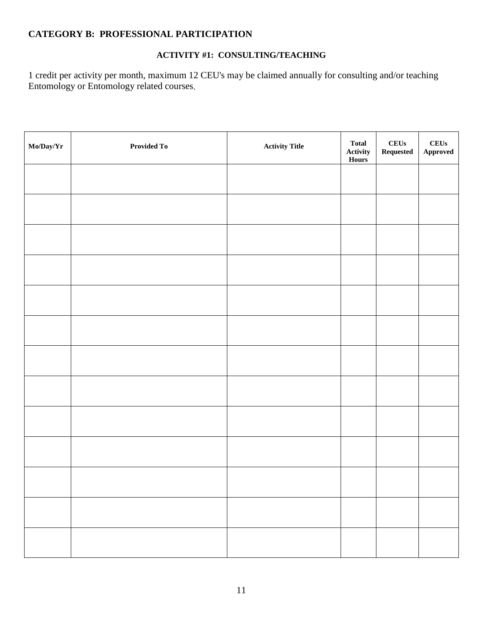# **CATEGORY B: PROFESSIONAL PARTICIPATION**

## **ACTIVITY #1: CONSULTING/TEACHING**

1 credit per activity per month, maximum 12 CEU's may be claimed annually for consulting and/or teaching Entomology or Entomology related courses.

| ${\bf Mo/Day/Yr}$ | <b>Provided To</b> | <b>Activity Title</b> | <b>Total</b><br>Activity<br>Hours | ${\bf C} {\bf E} {\bf U} {\bf s}$<br>$\bf Requested$ | CEUs<br>${\Large {\bf Approach}}$ |
|-------------------|--------------------|-----------------------|-----------------------------------|------------------------------------------------------|-----------------------------------|
|                   |                    |                       |                                   |                                                      |                                   |
|                   |                    |                       |                                   |                                                      |                                   |
|                   |                    |                       |                                   |                                                      |                                   |
|                   |                    |                       |                                   |                                                      |                                   |
|                   |                    |                       |                                   |                                                      |                                   |
|                   |                    |                       |                                   |                                                      |                                   |
|                   |                    |                       |                                   |                                                      |                                   |
|                   |                    |                       |                                   |                                                      |                                   |
|                   |                    |                       |                                   |                                                      |                                   |
|                   |                    |                       |                                   |                                                      |                                   |
|                   |                    |                       |                                   |                                                      |                                   |
|                   |                    |                       |                                   |                                                      |                                   |
|                   |                    |                       |                                   |                                                      |                                   |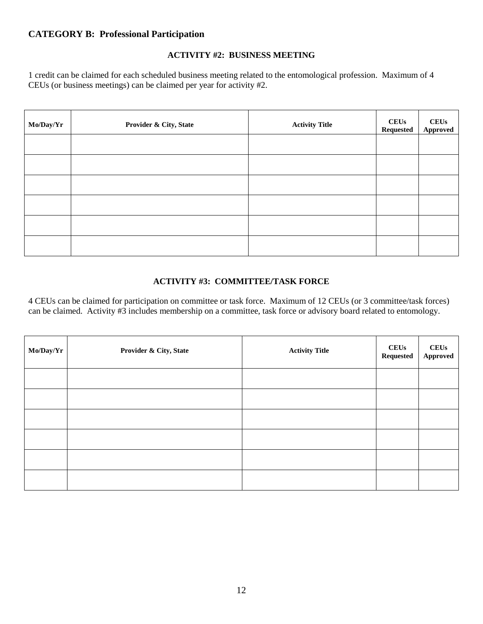## **ACTIVITY #2: BUSINESS MEETING**

1 credit can be claimed for each scheduled business meeting related to the entomological profession. Maximum of 4 CEUs (or business meetings) can be claimed per year for activity #2.

| Mo/Day/Yr | Provider & City, State | <b>Activity Title</b> | <b>CEUs</b><br><b>Requested</b> | <b>CEUs</b><br>Approved |
|-----------|------------------------|-----------------------|---------------------------------|-------------------------|
|           |                        |                       |                                 |                         |
|           |                        |                       |                                 |                         |
|           |                        |                       |                                 |                         |
|           |                        |                       |                                 |                         |
|           |                        |                       |                                 |                         |
|           |                        |                       |                                 |                         |

## **ACTIVITY #3: COMMITTEE/TASK FORCE**

4 CEUs can be claimed for participation on committee or task force. Maximum of 12 CEUs (or 3 committee/task forces) can be claimed. Activity #3 includes membership on a committee, task force or advisory board related to entomology.

| Mo/Day/Yr | Provider & City, State | <b>Activity Title</b> | <b>CEUs</b><br><b>Requested</b> | <b>CEUs</b><br>Approved |
|-----------|------------------------|-----------------------|---------------------------------|-------------------------|
|           |                        |                       |                                 |                         |
|           |                        |                       |                                 |                         |
|           |                        |                       |                                 |                         |
|           |                        |                       |                                 |                         |
|           |                        |                       |                                 |                         |
|           |                        |                       |                                 |                         |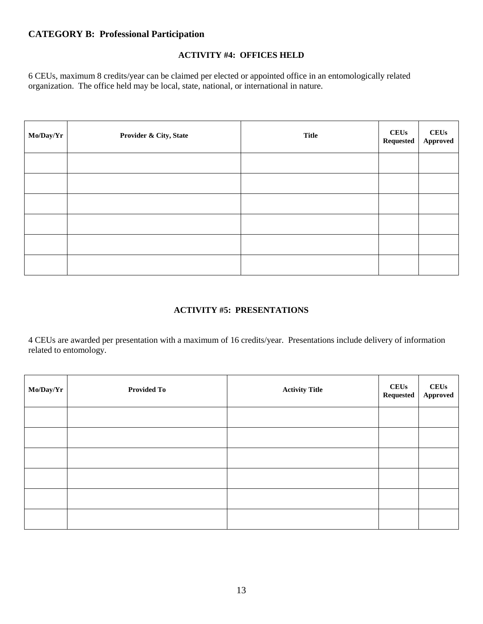## **ACTIVITY #4: OFFICES HELD**

6 CEUs, maximum 8 credits/year can be claimed per elected or appointed office in an entomologically related organization. The office held may be local, state, national, or international in nature.

| Mo/Day/Yr | Provider & City, State | <b>Title</b> | <b>CEUs</b><br>Requested | <b>CEUs</b><br>Approved |
|-----------|------------------------|--------------|--------------------------|-------------------------|
|           |                        |              |                          |                         |
|           |                        |              |                          |                         |
|           |                        |              |                          |                         |
|           |                        |              |                          |                         |
|           |                        |              |                          |                         |
|           |                        |              |                          |                         |

## **ACTIVITY #5: PRESENTATIONS**

4 CEUs are awarded per presentation with a maximum of 16 credits/year. Presentations include delivery of information related to entomology.

| Mo/Day/Yr | <b>Provided To</b> | <b>Activity Title</b> | <b>CEUs</b><br>Requested | <b>CEUs</b><br>Approved |
|-----------|--------------------|-----------------------|--------------------------|-------------------------|
|           |                    |                       |                          |                         |
|           |                    |                       |                          |                         |
|           |                    |                       |                          |                         |
|           |                    |                       |                          |                         |
|           |                    |                       |                          |                         |
|           |                    |                       |                          |                         |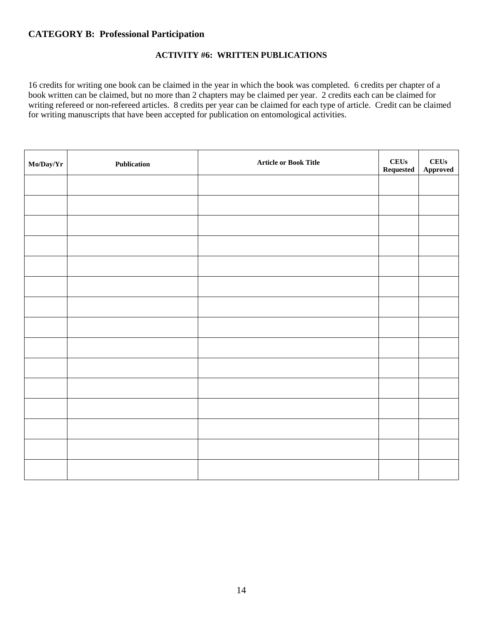### **ACTIVITY #6: WRITTEN PUBLICATIONS**

16 credits for writing one book can be claimed in the year in which the book was completed. 6 credits per chapter of a book written can be claimed, but no more than 2 chapters may be claimed per year. 2 credits each can be claimed for writing refereed or non-refereed articles. 8 credits per year can be claimed for each type of article. Credit can be claimed for writing manuscripts that have been accepted for publication on entomological activities.

| Mo/Day/Yr | ${\bf Publication}$ | <b>Article or Book Title</b> | CEUs<br>${\bf Requested}$ | ${\bf C} {\bf E} {\bf U} {\bf s}$<br>Approved |
|-----------|---------------------|------------------------------|---------------------------|-----------------------------------------------|
|           |                     |                              |                           |                                               |
|           |                     |                              |                           |                                               |
|           |                     |                              |                           |                                               |
|           |                     |                              |                           |                                               |
|           |                     |                              |                           |                                               |
|           |                     |                              |                           |                                               |
|           |                     |                              |                           |                                               |
|           |                     |                              |                           |                                               |
|           |                     |                              |                           |                                               |
|           |                     |                              |                           |                                               |
|           |                     |                              |                           |                                               |
|           |                     |                              |                           |                                               |
|           |                     |                              |                           |                                               |
|           |                     |                              |                           |                                               |
|           |                     |                              |                           |                                               |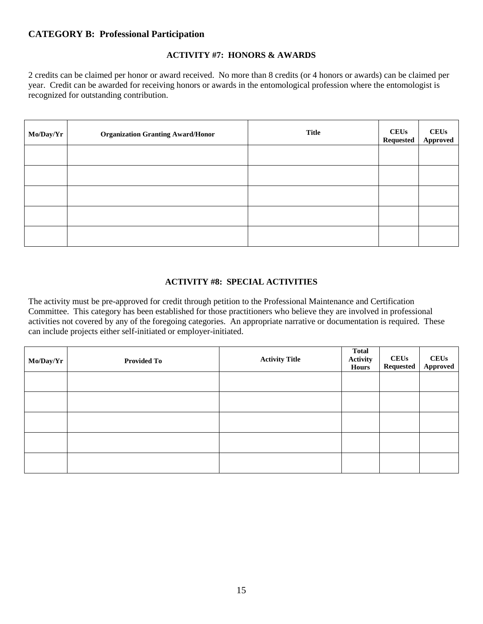## **ACTIVITY #7: HONORS & AWARDS**

2 credits can be claimed per honor or award received. No more than 8 credits (or 4 honors or awards) can be claimed per year. Credit can be awarded for receiving honors or awards in the entomological profession where the entomologist is recognized for outstanding contribution.

| Mo/Day/Yr | <b>Organization Granting Award/Honor</b> | <b>Title</b> | <b>CEUs</b><br><b>Requested</b> | <b>CEUs</b><br>Approved |
|-----------|------------------------------------------|--------------|---------------------------------|-------------------------|
|           |                                          |              |                                 |                         |
|           |                                          |              |                                 |                         |
|           |                                          |              |                                 |                         |
|           |                                          |              |                                 |                         |
|           |                                          |              |                                 |                         |

## **ACTIVITY #8: SPECIAL ACTIVITIES**

The activity must be pre-approved for credit through petition to the Professional Maintenance and Certification Committee. This category has been established for those practitioners who believe they are involved in professional activities not covered by any of the foregoing categories. An appropriate narrative or documentation is required. These can include projects either self-initiated or employer-initiated.

| Mo/Day/Yr | <b>Provided To</b> | <b>Activity Title</b> | <b>Total</b><br>Activity<br><b>Hours</b> | <b>CEUs</b><br><b>Requested</b> | CEUs  <br>Approved |
|-----------|--------------------|-----------------------|------------------------------------------|---------------------------------|--------------------|
|           |                    |                       |                                          |                                 |                    |
|           |                    |                       |                                          |                                 |                    |
|           |                    |                       |                                          |                                 |                    |
|           |                    |                       |                                          |                                 |                    |
|           |                    |                       |                                          |                                 |                    |